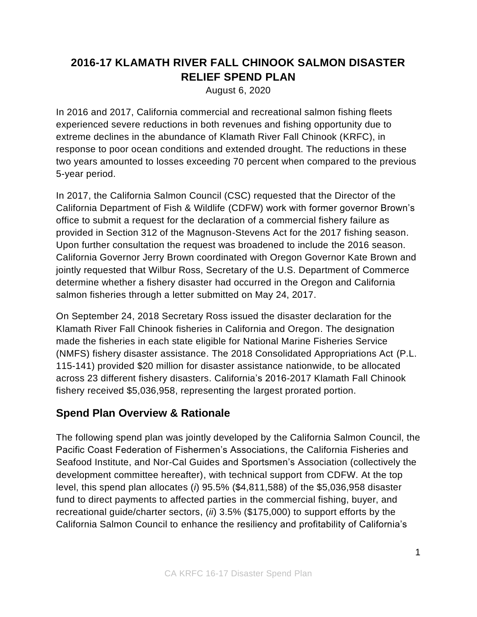# **2016-17 KLAMATH RIVER FALL CHINOOK SALMON DISASTER RELIEF SPEND PLAN**

August 6, 2020

In 2016 and 2017, California commercial and recreational salmon fishing fleets experienced severe reductions in both revenues and fishing opportunity due to extreme declines in the abundance of Klamath River Fall Chinook (KRFC), in response to poor ocean conditions and extended drought. The reductions in these two years amounted to losses exceeding 70 percent when compared to the previous 5-year period.

In 2017, the California Salmon Council (CSC) requested that the Director of the California Department of Fish & Wildlife (CDFW) work with former governor Brown's office to submit a request for the declaration of a commercial fishery failure as provided in Section 312 of the Magnuson-Stevens Act for the 2017 fishing season. Upon further consultation the request was broadened to include the 2016 season. California Governor Jerry Brown coordinated with Oregon Governor Kate Brown and jointly requested that Wilbur Ross, Secretary of the U.S. Department of Commerce determine whether a fishery disaster had occurred in the Oregon and California salmon fisheries through a letter submitted on May 24, 2017.

On September 24, 2018 Secretary Ross issued the disaster declaration for the Klamath River Fall Chinook fisheries in California and Oregon. The designation made the fisheries in each state eligible for National Marine Fisheries Service (NMFS) fishery disaster assistance. The 2018 Consolidated Appropriations Act (P.L. 115-141) provided \$20 million for disaster assistance nationwide, to be allocated across 23 different fishery disasters. California's 2016-2017 Klamath Fall Chinook fishery received \$5,036,958, representing the largest prorated portion.

## **Spend Plan Overview & Rationale**

The following spend plan was jointly developed by the California Salmon Council, the Pacific Coast Federation of Fishermen's Associations, the California Fisheries and Seafood Institute, and Nor-Cal Guides and Sportsmen's Association (collectively the development committee hereafter), with technical support from CDFW. At the top level, this spend plan allocates (*i*) 95.5% (\$4,811,588) of the \$5,036,958 disaster fund to direct payments to affected parties in the commercial fishing, buyer, and recreational guide/charter sectors, (*ii*) 3.5% (\$175,000) to support efforts by the California Salmon Council to enhance the resiliency and profitability of California's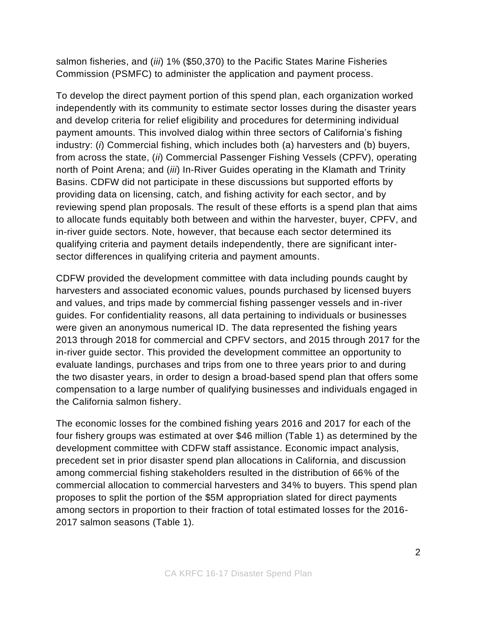salmon fisheries, and (*iii*) 1% (\$50,370) to the Pacific States Marine Fisheries Commission (PSMFC) to administer the application and payment process.

To develop the direct payment portion of this spend plan, each organization worked independently with its community to estimate sector losses during the disaster years and develop criteria for relief eligibility and procedures for determining individual payment amounts. This involved dialog within three sectors of California's fishing industry: (*i*) Commercial fishing, which includes both (a) harvesters and (b) buyers, from across the state, (*ii*) Commercial Passenger Fishing Vessels (CPFV), operating north of Point Arena; and (*iii*) In-River Guides operating in the Klamath and Trinity Basins. CDFW did not participate in these discussions but supported efforts by providing data on licensing, catch, and fishing activity for each sector, and by reviewing spend plan proposals. The result of these efforts is a spend plan that aims to allocate funds equitably both between and within the harvester, buyer, CPFV, and in-river guide sectors. Note, however, that because each sector determined its qualifying criteria and payment details independently, there are significant intersector differences in qualifying criteria and payment amounts.

CDFW provided the development committee with data including pounds caught by harvesters and associated economic values, pounds purchased by licensed buyers and values, and trips made by commercial fishing passenger vessels and in-river guides. For confidentiality reasons, all data pertaining to individuals or businesses were given an anonymous numerical ID. The data represented the fishing years 2013 through 2018 for commercial and CPFV sectors, and 2015 through 2017 for the in-river guide sector. This provided the development committee an opportunity to evaluate landings, purchases and trips from one to three years prior to and during the two disaster years, in order to design a broad-based spend plan that offers some compensation to a large number of qualifying businesses and individuals engaged in the California salmon fishery.

The economic losses for the combined fishing years 2016 and 2017 for each of the four fishery groups was estimated at over \$46 million (Table 1) as determined by the development committee with CDFW staff assistance. Economic impact analysis, precedent set in prior disaster spend plan allocations in California, and discussion among commercial fishing stakeholders resulted in the distribution of 66% of the commercial allocation to commercial harvesters and 34% to buyers. This spend plan proposes to split the portion of the \$5M appropriation slated for direct payments among sectors in proportion to their fraction of total estimated losses for the 2016- 2017 salmon seasons (Table 1).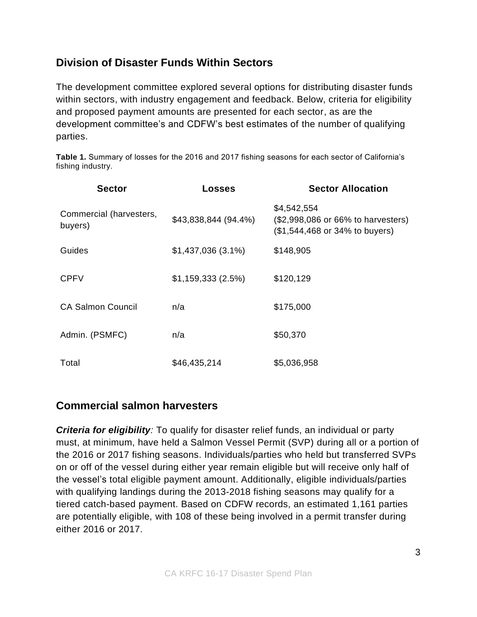## **Division of Disaster Funds Within Sectors**

The development committee explored several options for distributing disaster funds within sectors, with industry engagement and feedback. Below, criteria for eligibility and proposed payment amounts are presented for each sector, as are the development committee's and CDFW's best estimates of the number of qualifying parties.

**Table 1.** Summary of losses for the 2016 and 2017 fishing seasons for each sector of California's fishing industry.

| <b>Sector</b>                      | Losses               | <b>Sector Allocation</b>                                                            |
|------------------------------------|----------------------|-------------------------------------------------------------------------------------|
| Commercial (harvesters,<br>buyers) | \$43,838,844 (94.4%) | \$4,542,554<br>(\$2,998,086 or 66% to harvesters)<br>(\$1,544,468 or 34% to buyers) |
| Guides                             | \$1,437,036(3.1%)    | \$148,905                                                                           |
| <b>CPFV</b>                        | \$1,159,333(2.5%)    | \$120,129                                                                           |
| <b>CA Salmon Council</b>           | n/a                  | \$175,000                                                                           |
| Admin. (PSMFC)                     | n/a                  | \$50,370                                                                            |
| Total                              | \$46,435,214         | \$5,036,958                                                                         |

### **Commercial salmon harvesters**

*Criteria for eligibility:* To qualify for disaster relief funds, an individual or party must, at minimum, have held a Salmon Vessel Permit (SVP) during all or a portion of the 2016 or 2017 fishing seasons. Individuals/parties who held but transferred SVPs on or off of the vessel during either year remain eligible but will receive only half of the vessel's total eligible payment amount. Additionally, eligible individuals/parties with qualifying landings during the 2013-2018 fishing seasons may qualify for a tiered catch-based payment. Based on CDFW records, an estimated 1,161 parties are potentially eligible, with 108 of these being involved in a permit transfer during either 2016 or 2017.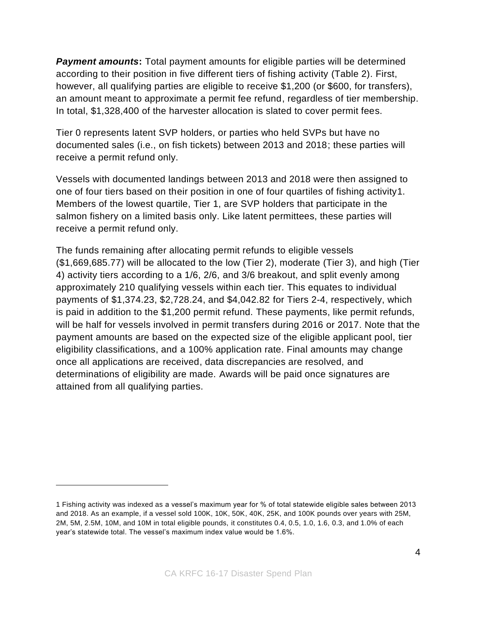**Payment amounts:** Total payment amounts for eligible parties will be determined according to their position in five different tiers of fishing activity (Table 2). First, however, all qualifying parties are eligible to receive \$1,200 (or \$600, for transfers), an amount meant to approximate a permit fee refund, regardless of tier membership. In total, \$1,328,400 of the harvester allocation is slated to cover permit fees.

Tier 0 represents latent SVP holders, or parties who held SVPs but have no documented sales (i.e., on fish tickets) between 2013 and 2018; these parties will receive a permit refund only.

Vessels with documented landings between 2013 and 2018 were then assigned to one of four tiers based on their position in one of four quartiles of fishing activity1. Members of the lowest quartile, Tier 1, are SVP holders that participate in the salmon fishery on a limited basis only. Like latent permittees, these parties will receive a permit refund only.

The funds remaining after allocating permit refunds to eligible vessels (\$1,669,685.77) will be allocated to the low (Tier 2), moderate (Tier 3), and high (Tier 4) activity tiers according to a 1/6, 2/6, and 3/6 breakout, and split evenly among approximately 210 qualifying vessels within each tier. This equates to individual payments of \$1,374.23, \$2,728.24, and \$4,042.82 for Tiers 2-4, respectively, which is paid in addition to the \$1,200 permit refund. These payments, like permit refunds, will be half for vessels involved in permit transfers during 2016 or 2017. Note that the payment amounts are based on the expected size of the eligible applicant pool, tier eligibility classifications, and a 100% application rate. Final amounts may change once all applications are received, data discrepancies are resolved, and determinations of eligibility are made. Awards will be paid once signatures are attained from all qualifying parties.

<sup>1</sup> Fishing activity was indexed as a vessel's maximum year for % of total statewide eligible sales between 2013 and 2018. As an example, if a vessel sold 100K, 10K, 50K, 40K, 25K, and 100K pounds over years with 25M, 2M, 5M, 2.5M, 10M, and 10M in total eligible pounds, it constitutes 0.4, 0.5, 1.0, 1.6, 0.3, and 1.0% of each year's statewide total. The vessel's maximum index value would be 1.6%.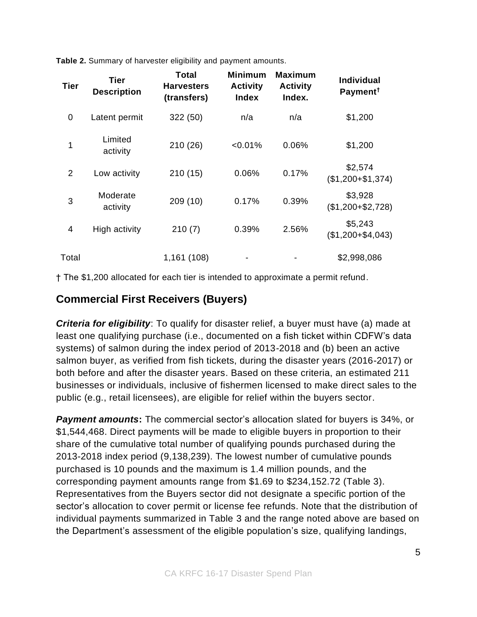**Table 2.** Summary of harvester eligibility and payment amounts.

| <b>Tier</b> | Tier<br><b>Description</b> | <b>Total</b><br><b>Harvesters</b><br>(transfers) | <b>Minimum</b><br><b>Activity</b><br><b>Index</b> | <b>Maximum</b><br><b>Activity</b><br>Index. | <b>Individual</b><br>Payment <sup>†</sup> |
|-------------|----------------------------|--------------------------------------------------|---------------------------------------------------|---------------------------------------------|-------------------------------------------|
| 0           | Latent permit              | 322 (50)                                         | n/a                                               | n/a                                         | \$1,200                                   |
| 1           | Limited<br>activity        | 210 (26)                                         | < 0.01%                                           | 0.06%                                       | \$1,200                                   |
| 2           | Low activity               | 210(15)                                          | 0.06%                                             | 0.17%                                       | \$2,574<br>$($1,200 + $1,374)$            |
| 3           | Moderate<br>activity       | 209(10)                                          | 0.17%                                             | 0.39%                                       | \$3,928<br>$($1,200 + $2,728)$            |
| 4           | High activity              | 210(7)                                           | 0.39%                                             | 2.56%                                       | \$5,243<br>$($1,200 + $4,043)$            |
| Total       |                            | 1,161 (108)                                      |                                                   |                                             | \$2,998,086                               |

† The \$1,200 allocated for each tier is intended to approximate a permit refund.

### **Commercial First Receivers (Buyers)**

*Criteria for eligibility*: To qualify for disaster relief, a buyer must have (a) made at least one qualifying purchase (i.e., documented on a fish ticket within CDFW's data systems) of salmon during the index period of 2013-2018 and (b) been an active salmon buyer, as verified from fish tickets, during the disaster years (2016-2017) or both before and after the disaster years. Based on these criteria, an estimated 211 businesses or individuals, inclusive of fishermen licensed to make direct sales to the public (e.g., retail licensees), are eligible for relief within the buyers sector.

*Payment amounts***:** The commercial sector's allocation slated for buyers is 34%, or \$1,544,468. Direct payments will be made to eligible buyers in proportion to their share of the cumulative total number of qualifying pounds purchased during the 2013-2018 index period (9,138,239). The lowest number of cumulative pounds purchased is 10 pounds and the maximum is 1.4 million pounds, and the corresponding payment amounts range from \$1.69 to \$234,152.72 (Table 3). Representatives from the Buyers sector did not designate a specific portion of the sector's allocation to cover permit or license fee refunds. Note that the distribution of individual payments summarized in Table 3 and the range noted above are based on the Department's assessment of the eligible population's size, qualifying landings,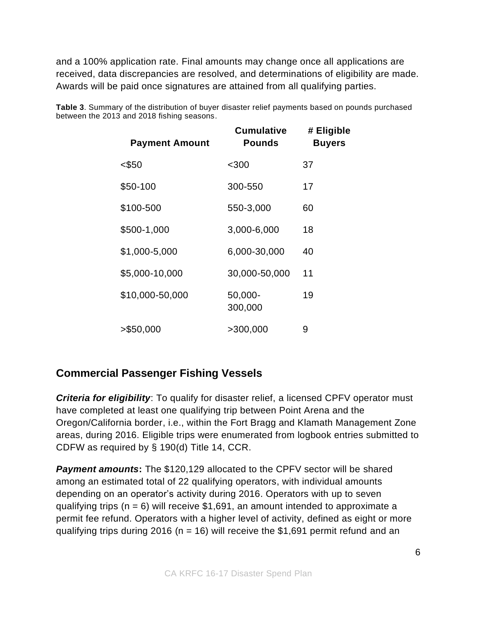and a 100% application rate. Final amounts may change once all applications are received, data discrepancies are resolved, and determinations of eligibility are made. Awards will be paid once signatures are attained from all qualifying parties.

| <b>Payment Amount</b> | <b>Cumulative</b><br><b>Pounds</b> | # Eligible<br><b>Buyers</b> |
|-----------------------|------------------------------------|-----------------------------|
| <\$50                 | $300$                              | 37                          |
| \$50-100              | 300-550                            | 17                          |
| \$100-500             | 550-3,000                          | 60                          |
| \$500-1,000           | 3,000-6,000                        | 18                          |
| \$1,000-5,000         | 6,000-30,000                       | 40                          |
| \$5,000-10,000        | 30,000-50,000                      | 11                          |
| \$10,000-50,000       | 50,000-<br>300,000                 | 19                          |
| > \$50,000            | >300,000                           | 9                           |

**Table 3**. Summary of the distribution of buyer disaster relief payments based on pounds purchased between the 2013 and 2018 fishing seasons.

## **Commercial Passenger Fishing Vessels**

*Criteria for eligibility*: To qualify for disaster relief, a licensed CPFV operator must have completed at least one qualifying trip between Point Arena and the Oregon/California border, i.e., within the Fort Bragg and Klamath Management Zone areas, during 2016. Eligible trips were enumerated from logbook entries submitted to CDFW as required by § 190(d) Title 14, CCR.

*Payment amounts***:** The \$120,129 allocated to the CPFV sector will be shared among an estimated total of 22 qualifying operators, with individual amounts depending on an operator's activity during 2016. Operators with up to seven qualifying trips ( $n = 6$ ) will receive \$1,691, an amount intended to approximate a permit fee refund. Operators with a higher level of activity, defined as eight or more qualifying trips during 2016 ( $n = 16$ ) will receive the \$1,691 permit refund and an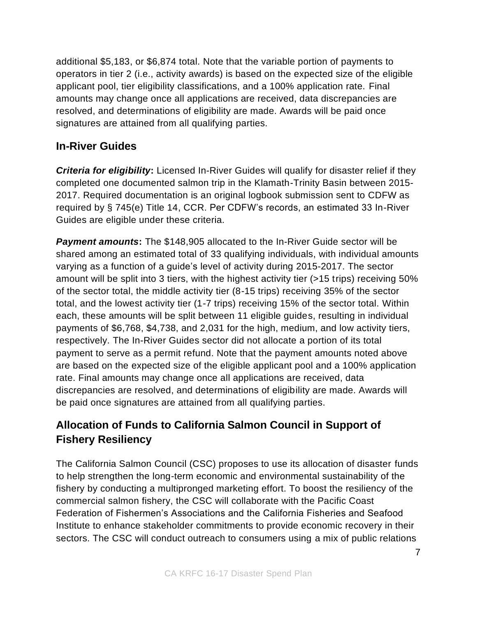additional \$5,183, or \$6,874 total. Note that the variable portion of payments to operators in tier 2 (i.e., activity awards) is based on the expected size of the eligible applicant pool, tier eligibility classifications, and a 100% application rate. Final amounts may change once all applications are received, data discrepancies are resolved, and determinations of eligibility are made. Awards will be paid once signatures are attained from all qualifying parties.

#### **In-River Guides**

*Criteria for eligibility***:** Licensed In-River Guides will qualify for disaster relief if they completed one documented salmon trip in the Klamath-Trinity Basin between 2015- 2017. Required documentation is an original logbook submission sent to CDFW as required by § 745(e) Title 14, CCR. Per CDFW's records, an estimated 33 In-River Guides are eligible under these criteria.

*Payment amounts***:** The \$148,905 allocated to the In-River Guide sector will be shared among an estimated total of 33 qualifying individuals, with individual amounts varying as a function of a guide's level of activity during 2015-2017. The sector amount will be split into 3 tiers, with the highest activity tier (>15 trips) receiving 50% of the sector total, the middle activity tier (8-15 trips) receiving 35% of the sector total, and the lowest activity tier (1-7 trips) receiving 15% of the sector total. Within each, these amounts will be split between 11 eligible guides, resulting in individual payments of \$6,768, \$4,738, and 2,031 for the high, medium, and low activity tiers, respectively. The In-River Guides sector did not allocate a portion of its total payment to serve as a permit refund. Note that the payment amounts noted above are based on the expected size of the eligible applicant pool and a 100% application rate. Final amounts may change once all applications are received, data discrepancies are resolved, and determinations of eligibility are made. Awards will be paid once signatures are attained from all qualifying parties.

# **Allocation of Funds to California Salmon Council in Support of Fishery Resiliency**

The California Salmon Council (CSC) proposes to use its allocation of disaster funds to help strengthen the long-term economic and environmental sustainability of the fishery by conducting a multipronged marketing effort. To boost the resiliency of the commercial salmon fishery, the CSC will collaborate with the Pacific Coast Federation of Fishermen's Associations and the California Fisheries and Seafood Institute to enhance stakeholder commitments to provide economic recovery in their sectors. The CSC will conduct outreach to consumers using a mix of public relations